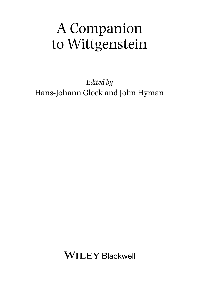# A Companion to Wittgenstein

# *Edited by* Hans‐Johann Glock and John Hyman

**WILEY Blackwell**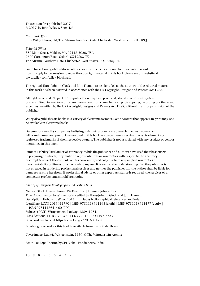This edition first published 2017 © 2017 by John Wiley & Sons, Ltd

*Registered Office* John Wiley & Sons, Ltd, The Atrium, Southern Gate, Chichester, West Sussex, PO19 8SQ, UK

*Editorial Offices* 350 Main Street, Malden, MA 02148‐5020, USA 9600 Garsington Road, Oxford, OX4 2DQ, UK The Atrium, Southern Gate, Chichester, West Sussex, PO19 8SQ, UK

For details of our global editorial offices, for customer services, and for information about how to apply for permission to reuse the copyright material in this book please see our website at www.wiley.com/wiley‐blackwell.

The right of Hans‐Johann Glock and John Hyman to be identified as the authors of the editorial material in this work has been asserted in accordance with the UK Copyright, Designs and Patents Act 1988.

All rights reserved. No part of this publication may be reproduced, stored in a retrieval system, or transmitted, in any form or by any means, electronic, mechanical, photocopying, recording or otherwise, except as permitted by the UK Copyright, Designs and Patents Act 1988, without the prior permission of the publisher.

Wiley also publishes its books in a variety of electronic formats. Some content that appears in print may not be available in electronic books.

Designations used by companies to distinguish their products are often claimed as trademarks. All brand names and product names used in this book are trade names, service marks, trademarks or registered trademarks of their respective owners. The publisher is not associated with any product or vendor mentioned in this book.

Limit of Liability/Disclaimer of Warranty: While the publisher and authors have used their best efforts in preparing this book, they make no representations or warranties with respect to the accuracy or completeness of the contents of this book and specifically disclaim any implied warranties of merchantability or fitness for a particular purpose. It is sold on the understanding that the publisher is not engaged in rendering professional services and neither the publisher nor the author shall be liable for damages arising herefrom. If professional advice or other expert assistance is required, the services of a competent professional should be sought.

#### *Library of Congress Cataloging‐in‐Publication Data*

Names: Glock, Hans-Johann, 1960– editor. | Hyman, John, editor. Title: A companion to Wittgenstein / edited by Hans-Johann Glock and John Hyman. Description: Hoboken : Wiley, 2017. | Includes bibliographical references and index. Identifiers: LCCN 2016034790 | ISBN 9781118641163 (cloth) | ISBN 9781118641477 (epub) | ISBN 9781118641460 (PDF) Subjects: LCSH: Wittgenstein, Ludwig, 1889–1951. Classification: LCC B3376.W564 C633 2017 | DDC 192–dc23 LC record available at https://lccn.loc.gov/2016034790

A catalogue record for this book is available from the British Library.

Cover image: Ludwig Wittgenstein, 1930. © The Wittgenstein Archive

Set in 10/12pt Photina by SPi Global, Pondicherry, India

10 9 8 7 6 5 4 3 2 1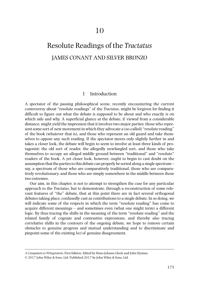# Resolute Readings of the *Tractatus* James Conant and Silver Bronzo

### 1 Introduction

A spectator of the passing philosophical scene, recently encountering the current controversy about "resolute readings" of the *Tractatus*, might be forgiven for finding it difficult to figure out what the debate is supposed to be about and who exactly is on which side and why. A superficial glance at the debate, if viewed from a considerable distance, might yield the impression that it involves two major parties: those who represent some sort of new movement in which they advocate a (so-called) "resolute reading" of the book (whatever that is), and those who represent an old guard and take themselves to oppose any such reading. If the spectator moves only slightly further in and takes a closer look, the debate will begin to seem to involve at least three kinds of protagonist: the old sort of reader, the allegedly newfangled sort, and those who take themselves to occupy an alleged middle ground between "traditional" and "resolute" readers of the book. A yet closer look, however, ought to begin to cast doubt on the assumption that the parties to this debate can properly be sorted along a single spectrum – say, a spectrum of those who are comparatively traditional, those who are comparatively revolutionary, and those who are simply somewhere in the middle between those two extremes.

Our aim, in this chapter, is not to attempt to strengthen the case for any particular approach to the *Tractatus*, but to demonstrate, through a reconstruction of some relevant features of "the" debate, that at this point there are in fact several orthogonal debates taking place, confusedly cast as contributions to a single debate. In so doing, we will indicate some of the respects in which the term "resolute reading" has come to acquire different meanings – and sometimes even (what one might term) a different logic. By thus tracing the shifts in the meaning of the term "resolute reading" and the related family of cognate and contrastive expressions, and thereby also tracing correlative shifts in the contours of the ongoing debate, we hope to remove certain obstacles to genuine progress and mutual understanding and to discriminate and pinpoint some of the existing *loci* of genuine disagreement.

*A Companion to Wittgenstein*, First Edition. Edited by Hans-Johann Glock and John Hyman.

<sup>© 2017</sup> John Wiley & Sons, Ltd. Published 2017 by John Wiley & Sons, Ltd.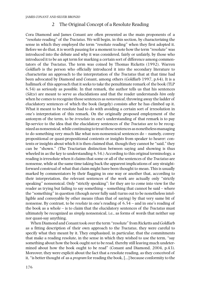#### 2 The Original Concept of a Resolute Reading

Cora Diamond and James Conant are often presented as the main proponents of a "resolute reading" of the *Tractatus*. We will begin, in this section, by characterizing the sense in which they employed the term "resolute reading" when they first adopted it. Before we do that, it is worth pausing for a moment to note how the term "resolute" was introduced into the debate and why it was considered, fairly or unfairly, by those who introduced it to be an apt term for marking a certain sort of difference among commentators of the *Tractatus*. The term was coined by Thomas Ricketts (1992). Warren Goldfarb is the person who officially introduced it into the secondary literature to characterize an approach to the interpretation of the *Tractatus* that at that time had been advocated by Diamond and Conant, among others (Goldfarb 1997, p.64). It is a hallmark of this approach that it seeks to take the penultimate remark of the book (TLP 6.54) as seriously as possible. In that remark, the author tells us that his sentences (*Sätze*) are meant to serve as elucidations and that the reader understands *him* only when he comes to recognize those sentences as *nonsensical*, throwing away the ladder of elucidatory sentences of which the book (largely) consists after he has climbed up it. What it meant to be resolute had to do with avoiding a certain sort of irresolution in one's interpretation of this remark. On the originally proposed employment of the antonym of the term, to be *irresolute* in one's understanding of that remark is to pay lip‐service to the idea that the elucidatory sentences of the *Tractatus* are to be recognized as nonsensical, while continuing to treat those sentences as nonetheless managing to do something very much like what non‐nonsensical sentences do – namely, convey propositional or quasi‐propositional contents or insights from speaker to hearer: contents or insights about which it is then claimed that, though they cannot be "said," they can be "shown." (The Tractarian distinction between saying and showing is thus wheeled in as the key to understanding 6.54.) According to this original terminology, a reading is irresolute when it claims that some or all of the sentences of the *Tractatus* are nonsense, while at the same time taking back the apparent implications of any straightforward construal of what that claim might have been thought to mean. This is usually marked by commentators by their flagging in one way or another that, according to their interpretation, the relevant sentences of the work are actually only "strictly speaking" nonsensical. Only "strictly speaking": for they are to come into view for the reader as trying but failing to say something – something that cannot be said – where the "something" in question (though never fully said) turns out to be nonetheless intelligible and conveyable by other means (than that of saying) by that very same bit of nonsense. By contrast, to be *resolute* in one's reading of 6.54 – and in one's reading of the book as a whole – is to claim that the elucidatory sentences of the *Tractatus* must ultimately be recognized as *simply* nonsensical, i.e., as forms of words that neither say nor quasi‐say anything.

When Diamond and Conant took over the term "resolute" from Ricketts and Goldfarb as a fitting description of their own approach to the *Tractatus*, they were careful to specify what they meant by it. They emphasized, in particular, that the commitments that make a reading resolute, in the sense in which they wished to use the term, "say something about how the book ought *not* to be read, thereby still leaving much undetermined about how the book ought to be read" (Conant and Diamond, 2004, p.43). Moreover, they were explicit about the fact that a resolute reading, as they conceived of it, "is better thought of as a *program* for reading the book, […] because conformity to the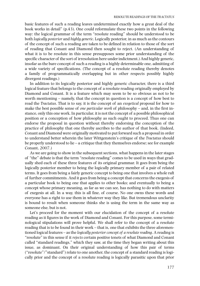basic features of such a reading leaves undetermined exactly how a great deal of the book works in detail" (p.43). One could reformulate these two points in the following way: the logical grammar of the term "resolute reading" should be understood to be both *logically posterior* and *highly generic*. Logically posterior, in as much as the contours of the concept of such a reading are taken to be defined in relation to those of the sort of reading that Conant and Diamond then sought to reject. (An understanding of what it is to be resolute in this sense presupposes some prior understanding of the specific character of the sort of irresolution here under indictment.) And highly generic, insofar as the bare concept of such a reading is a highly determinable one, admitting of a wide variety of specifications. (The concept of a resolute reading thereby denotes a family of programmatically overlapping but in other respects possibly highly divergent readings.)

In addition to its logically posterior and highly generic character, there is a third logical feature that belongs to the concept of a resolute reading originally employed by Diamond and Conant. It is a feature which may seem to be so obvious as not to be worth mentioning – namely, that the concept in question is a concept of how best to read the *Tractatus*. That is to say, it is the concept of an *exegetical* proposal for how to make the best possible sense of *one particular work* of philosophy – and, in the first instance, only this one work. In particular, it is not the concept of a possible philosophical position or a conception of how philosophy as such ought to proceed. Thus one can endorse the proposal in question without thereby endorsing the conception of the practice of philosophy that one thereby ascribes to the author of that book. (Indeed, Conant and Diamond were originally motivated to put forward such a proposal in order to understand better wherein the later Wittgenstein's critique of the *Tractatus* should be properly understood to lie – a critique that they themselves endorse; see for example Conant, 2007.)

As we are going to show in the subsequent sections, what happens in the later stages of "the" debate is that the term "resolute reading" comes to be used in ways that gradually shed each of these three features of its original grammar. It goes from being the logically posterior member to being the logically primary member of a pair of related terms. It goes from being a fairly generic concept to being one that involves a whole raft of further commitments. And it goes from being a concept that concerns the exegesis of a particular book to being one that applies to other books; and eventually to being a concept whose primary meaning, as far as we can see, has nothing to do with matters of exegesis at all. In a way, this is all fine, of course. No one owns these words and everyone has a right to use them in whatever way they like. But tremendous unclarity is bound to result when someone thinks she is using the term in the same way as someone else, but is not.

Let's proceed for the moment with our elucidation of the concept of a resolute reading as it figures in the work of Diamond and Conant. For this purpose, some terminological stipulations will prove helpful. We shall refer to the concept of a resolute reading that is to be found in their work – that is, one that exhibits the three aforementioned logical features – as the *logically posterior concept of a resolute reading*. A reading is "resolute" in this sense if it *rejects* certain positive tenets of what Diamond and Conant called "standard readings," which they saw, at the time they began writing about this issue, as dominant. On their original understanding of how this pair of terms ("resolute"/"standard") relate to one another, the concept of a standard reading is logically prior and the concept of a resolute reading is logically parasitic upon that prior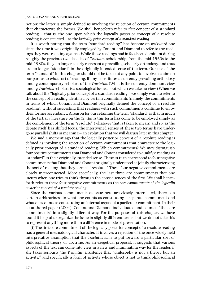notion: the latter is simply defined as involving the rejection of certain commitments that characterize the former. We shall henceforth refer to *that* concept of a standard reading – that is, the one upon which the logically posterior concept of a resolute reading is constructed – as the *logically prior concept of a standard reading*.

It is worth noting that the term "standard reading" has become an awkward one since the time it was originally employed by Conant and Diamond to refer to the readings they were reacting against. While those readings had in fact been dominant during roughly the previous two decades of *Tractatus* scholarship, from the mid‐1960s to the mid‐1980s, they no longer clearly represent a prevailing scholarly orthodoxy, and thus are no longer "standard" in the originally intended sense of the term. Our use of the term "standard" in this chapter should not be taken at any point to involve a claim on our part as to what sort of reading, if any, constitutes a currently prevailing orthodoxy among contemporary scholars of the *Tractatus*. (What is the currently dominant view among *Tractatus* scholars is a sociological issue about which we take no view.) When we talk about the "logically prior concept of a standard reading," we simply want to refer to the concept of a reading identified by certain commitments (namely, the commitments in terms of which Conant and Diamond originally defined the concept of a resolute reading), without suggesting that readings with such commitments continue to enjoy their former ascendancy. A reason for our retaining the term "standard" is that in much of the tertiary literature on the *Tractatus* this term has come to be employed simply as the complement of the term "resolute" (whatever that is taken to mean) and so, as the debate itself has shifted focus, the intertwined senses of these two terms have undergone parallel shifts in meaning – an evolution that we will discuss later in this chapter.

We said a moment ago that the logically posterior concept of a resolute reading is defined as involving the rejection of certain commitments that characterize the logically prior concept of a standard reading. Which commitments? We may distinguish four positive commitments that Diamond and Conant considered to qualify a reading as "standard" in their originally intended sense. These in turn correspond to four negative commitments that Diamond and Conant originally understood as jointly characterizing the sort of reading that they termed "resolute." These four negative commitments are closely interconnected. More specifically, the last three are commitments that one incurs when one tries to think through the consequences of the first. We shall henceforth refer to these four negative commitments as the *core commitments of the logically posterior concept of a resolute reading*.

Since the various commitments at issue here are closely interrelated, there is a certain arbitrariness to what one counts as constituting a separate commitment and what one counts as constituting an internal aspect of a particular commitment. In their co‐authored paper (2004), Conant and Diamond individuated and counted "the core commitments" in a slightly different way. For the purposes of this chapter, we have found it helpful to organize the issue in slightly different terms; but we do not take this to represent anything more than a difference in mode of presentation.

(i) The first core commitment of the logically posterior concept of a resolute reading has a general methodological character. It involves a rejection of the once widely held interpretative assumption that the *Tractatus aims* to put forward a particular sort of philosophical theory or doctrine. As an exegetical proposal, it suggests that various aspects of the text can come into view in a new and illuminating way for the reader, if she takes seriously the *Tractatus*' insistence that "philosophy is not a theory but an activity," and specifically a form of activity whose object is not to think philosophical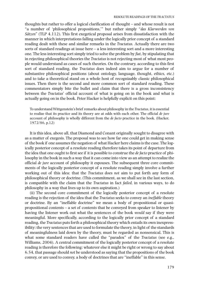thoughts but rather to offer a logical clarification of thought – and whose result is not "a number of 'philosophical propositions,'" but rather simply "*das Klarwerden von Sätzen*" (TLP 4.112). This first exegetical proposal arises from dissatisfaction with the manner in which interpretations falling under the logically prior concept of a standard reading dealt with these and similar remarks in the *Tractatus*. Actually there are two sorts of standard readings at issue here – a less interesting sort and a more interesting one. The less interesting sort simply tried to solve the problem by *fiat*, by stipulating that in rejecting philosophical theories the *Tractatus* is not rejecting most of what most people would understand as cases of such theories. On the contrary, according to this first sort of standard reading, the *Tractatus* does indeed aim to argue for a number of substantive philosophical positions (about ontology, language, thought, ethics, etc.) and to take a theoretical stand on a whole host of recognizably classic philosophical issues. Then there is the second and more common sort of standard reading. These commentators simply bite the bullet and claim that there is a gross inconsistency between the *Tractatus*' official account of what is going on in the book and what is actually going on in the book. Peter Hacker is helpfully explicit on this point:

To understand Wittgenstein's brief remarks about philosophy in the *Tractatus*, it is essential to realize that its practice and its theory are at odds with each other. The official *de jure* account of philosophy is wholly different from the *de facto* practice in the book. (Hacker, 1972/86, p.12)

It is this idea, above all, that Diamond and Conant originally sought to disagree with as a matter of exegesis. The proposal was to see how far one could get in making sense of the book if one assumes the negation of what Hacker here claims is the case. The logically posterior concept of a resolute reading therefore takes its point of departure from the idea that one ought to first see if it is possible to construe the *de facto* practice of philosophy in the book in such a way that it can come into view as an attempt to realize the official *de jure* account of philosophy it espouses. The subsequent three core commitments of the logically posterior concept of a resolute reading simply involve a further working out of this idea: that the *Tractatus* does *not* aim to put forth any form of philosophical theory or doctrine. (This commitment, as we shall see in the last section, is compatible with the claim that the *Tractatus* in fact *failed*, in various ways, to do philosophy in a way that lives up to its own aspiration.)

(ii) The second core commitment of the logically posterior concept of a resolute reading is the rejection of the idea that the *Tractatus* seeks to convey an *ineffable* theory or doctrine. By an "ineffable doctrine" we mean a body of propositional or quasi‐ propositional contents – a set of contents that be conveyed from speaker to listener by having the listener work out what the sentences of the book *would* say if they were meaningful. More specifically, according to the logically prior concept of a standard reading, the *Tractatus* puts forth a philosophical theory which entails its own inexpressibility: the very sentences that are used to formulate the theory, in light of the standards of meaningfulness laid down by the theory, must be regarded as nonsensical. This is what some standard readers have called the "paradox" of the *Tractatus* (see e.g., Williams, 2004). A central commitment of the logically posterior concept of a resolute reading is therefore the following: whatever else it might be right or wrong to say about 6.54, that passage should *not* be understood as saying that the propositions of the book convey, or are used to convey, a body of doctrines that are "ineffable" in this sense.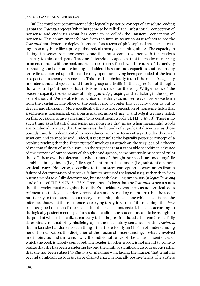(iii) The third core commitment of the logically posterior concept of a resolute reading is that the *Tractatus* rejects (what has come to be called) the "substantial" conception of nonsense and endorses (what has come to be called) the "austere" conception of nonsense. This commitment follows from the first, in as much as it refuses to see the *Tractatus*' entitlement to deploy "nonsense" as a term of philosophical criticism as resting upon anything like a prior philosophical theory of meaningfulness. The capacity to distinguish sense from nonsense is one that must come together with the reader's capacity to think and speak. These are interrelated capacities that the reader must bring to an encounter with the book and which are then refined over the course of the activity of reading the book and climbing its ladder. These are not capacities that are in any sense first conferred upon the reader only upon her having been persuaded of the truth of a particular theory of some sort. This is rather obviously true of the reader's capacity to understand and speak – and thus to grasp and traffic in the expression of thought. But a central point here is that this is no less true, for the early Wittgenstein, of the reader's capacity to detect cases of only *apparently* grasping and trafficking in the expression of thought. We are able to recognize some things as nonsense even before we learn from the *Tractatus*. The office of the book is not to confer this capacity upon us but to deepen and sharpen it. More specifically, the austere conception of nonsense holds that a sentence is nonsensical, on a particular occasion of use, if and *only* if we have failed, on that occasion, to give a meaning to its constituent words (cf. TLP 5.4733). There is no such thing as substantial nonsense, i.e., nonsense that arises when meaningful words are combined in a way that transgresses the bounds of significant discourse, as those bounds have been demarcated in accordance with the terms of a particular theory of what can and cannot be said. Indeed, it is essential to the logically posterior concept of a resolute reading that the *Tractatus* itself involves an attack on the very idea of a theory of meaningfulness of such a sort – on the very idea that it is possible to codify, in advance of the exercise of our capacity of thought and speech, some putatively prior set of rules that off their own bat determine when units of thought or speech are meaningfully combined in legitimate (i.e., fully significant) or in illegitimate (i.e., substantially nonsensical) ways. Nonsense, according to the austere conception, always arises from a failure of determination of sense (a failure to put words to logical use), rather than from putting words to a fully determinate, but nonetheless illegitimate use (a *logically wrong* kind of use; cf. TLP 5.473–5.4732). From this it follows that the *Tractatus*, when it states that the reader must recognize the author's elucidatory sentences as nonsensical, does *not* mean (as the logically prior concept of a standard reading maintains) that the reader must apply to those sentences a theory of meaningfulness – one which is to license the inference that what those sentences are trying to say, in virtue of the meanings that *have* been assigned to each of their constituent parts, is nonsensical. Instead, according to the logically posterior concept of a resolute reading, the reader is meant to be brought to the point at which she realizes, contrary to her impression that she has conferred a fully determinate method of symbolizing upon the elucidatory sentences of the *Tractatus*, that in fact she has done no such thing – that there is only an illusion of understanding here. This realization, this dissipation of the illusion of understanding, is what is involved in climbing up and throwing away the individual rungs of the ladder of sentences of which the book is largely composed. The reader, in other words, is not meant to come to realize that she has been wandering beyond the limits of significant discourse, but rather that she has been subject to *illusions* of meaning – including the illusion that what lies beyond significant discourse can be characterized in logically positive terms. The austere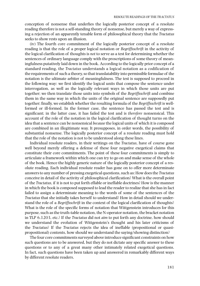conception of nonsense that underlies the logically posterior concept of a resolute reading therefore is not a self‐standing theory of nonsense, but merely a way of expressing a rejection of an apparently tenable form of philosophical theory that the *Tractatus* seeks to show rests upon an illusion.

(iv) The fourth core commitment of the logically posterior concept of a resolute reading is that the role of a proper logical notation or *Begriffsschrift* in the activity of the logical clarification of thoughts is *not* to serve as a test for determining whether the sentences of ordinary language comply with the proscriptions of some theory of meaningfulness putatively laid down in the book. According to the logically prior concept of a standard reading, the *Tractatus* understands a logical notation as a codification of the requirements of such a theory, so that translatability into permissible formulae of the notation is the ultimate arbiter of meaningfulness. The test is supposed to proceed in the following way: we first identify the logical units that compose the sentence under interrogation, as well as the logically relevant ways in which those units are put together; we then translate those units into symbols of the *Begriffsschrift* and combine them in the same way in which the units of the original sentence are supposedly put together; finally, we establish whether the resulting formula of the *Begriffsschrift* is well‐ formed or ill-formed. In the former case, the sentence has passed the test and is significant; in the latter case, it has failed the test and is *therefore* nonsensical. This account of the role of the notation in the logical clarification of thought turns on the idea that a sentence can be nonsensical *because* the logical units of which it is composed are combined in an illegitimate way. It presupposes, in order words, the possibility of substantial nonsense. The logically posterior concept of a resolute reading must hold that the role of the notation is not to be understood along these lines.

Individual resolute readers, in their writings on the *Tractatus*, have of course gone well beyond merely offering a defense of these four negative exegetical claims that constitute their core commitments. The point of these four commitments is simply to articulate a framework within which one can try to go on and make sense of the whole of the book. Hence the highly generic nature of the logically posterior concept of a resolute reading. Each individual resolute reader has gone on to offer more determinate answers to any number of pressing exegetical questions, such as: How does the *Tractatus* conceive in detail of the activity of philosophical clarification? What is the overall point of the *Tractatus*, if it is not to put forth effable or ineffable doctrines? How is the manner in which the book is composed supposed to lead the reader to realize that she has in fact failed to assign a determinate meaning to the words of some of the sentences of the *Tractatus* that she initially takes herself to understand? How in detail should we understand the role of a *Begriffsschrift* in the context of the logical clarification of thoughts? What is the role of the specific forms of notation that Wittgenstein introduces for this purpose, such as the truth‐table notation, the N‐operator notation, the bracket notation in TLP 6.1203, etc.? If the *Tractatus* did not *aim* to put forth any doctrine, how should we understand the evolution of Wittgenstein's thought and his later criticisms of the *Tractatus*? If the *Tractatus* rejects the idea of ineffable (propositional or quasi‐ propositional) contents, how should we understand the saying/showing distinction?

The four core commitments surveyed above introduce significant constraints on how such questions are to be answered, but they do not dictate any specific answer to these questions or to any of a great many other intimately related exegetical questions. In fact, such questions have been taken up and answered in remarkably different ways by different resolute readers.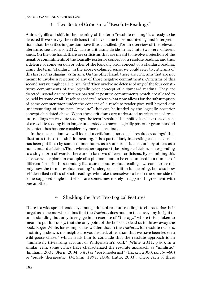## 3 Two Sorts of Criticism of "Resolute Readings"

A first significant shift in the meaning of the term "resolute reading" is already to be detected if we survey the criticisms that have come to be mounted against interpretations that the critics in question have thus classified. (For an overview of the relevant literature, see Bronzo, 2012.) These criticisms divide in fact into two very different kinds. On the one hand, there are criticisms that are meant to involve a rejection of the negative commitments of the logically posterior concept of a resolute reading, and thus a defense of some version or other of the logically prior concept of a standard reading. Using the term "standard" in the above‐explained sense, we could refer to criticisms of this first sort as *standard criticisms*. On the other hand, there are criticisms that are not meant to involve a rejection of any of those negative commitments. Criticisms of this second sort we might call *nonstandard.*They involve no defense of any of the four constitutive commitments of the logically prior concept of a standard reading. They are directed instead against further particular positive commitments which are alleged to be held by some or all "resolute readers," where what now allows for the subsumption of some commentator under the concept of a resolute reader goes well beyond any understanding of the term "resolute" that can be funded by the logically posterior concept elucidated above. When these criticisms are understood as criticisms of resolute readings *qua* resolute readings, the term "resolute" has shifted its sense: the concept of a resolute reading is no longer understood to have a logically posterior grammar and its content has become considerably more determinate.

In the next section, we will look at a criticism of so-called "resolute readings" that illustrates this sort of shift in meaning. It is a particularly interesting case, because it has been put forth by some commentators as a standard criticism, and by others as a nonstandard criticism. Thus, where there appears to be a single criticism, corresponding to a single form of words, there are in fact two different criticisms. By examining this case we will explore an example of a phenomenon to be encountered in a number of different forms in the secondary literature about resolute readings: we come to see not only how the term "resolute reading" undergoes a shift in its meaning, but also how self‐described critics of such readings who take themselves to be on the same side of some supposed single battlefield are sometimes merely in apparent agreement with one another.

#### 4 Shedding the First Two Logical Features

There is a widespread tendency among critics of resolute readings to characterize their target as someone who claims that the *Tractatus* does not aim to convey any insight or understanding, but only to engage in an exercise of "therapy," where this is taken to mean, to put it crudely, that the only point of the book is to lead us to throw away the book. Roger White, for example, has written that in the *Tractatus*, for resolute readers, "nothing is shown, no insights are vouchsafed, other than that we have been led on a wild goose chase," which leads him to conclude that the resolute approach is an "immensely trivializing account of Wittgenstein's work" (White, 2011, p.46). In a similar vein, some critics have characterized the resolute approach as "nihilistic" (Emiliani, 2003; Stern, 2004, p.45) or "post‐modernist" (Hacker, 2000, pp.356–60) or "purely therapeutic" (McGinn, 1999, 2006; Hutto, 2003), where each of these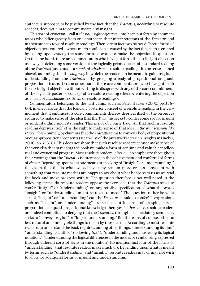epithets is supposed to be justified by the fact that the *Tractatus*, according to resolute readers, does not aim to communicate any insight.

This sort of criticism – call it *the no‐insight objection* – has been put forth by commentators who differ greatly from one another in their interpretations of the *Tractatus* and in their stances toward resolute readings. There are in fact two rather different forms of objection here entered – where much confusion is caused by the fact that each is entered by calling upon exactly the same form of words to make the objection in question. On the one hand, there are commentators who have put forth the no‐insight objection as a way of defending some version of the logically prior concept of a standard reading of the *Tractatus* (and thus as a *standard criticism* of resolute readings, in the sense defined above), assuming that the *only* way in which the reader can be meant to gain insight or understanding from the *Tractatus* is by grasping a body of propositional or quasipropositional truths. On the other hand, there are commentators who have put forth the no‐insight objection without wishing to disagree with any of the core commitments of the logically posterior concept of a resolute reading (thereby entering the objection as a form of *nonstandard criticism* of resolute readings).

Commentators belonging to the first camp, such as Peter Hacker (2000, pp.356– 60), in effect argue that the logically posterior concept of a resolute reading in the very moment that it embraces its core commitments thereby deprives itself of the resources required to make sense of the idea that the *Tractatus* seeks to confer some sort of insight or understanding upon its reader. This is not obviously true. All that such a resolute reading deprives itself of is the right to make sense of that idea *in the way someone like Hacker does* – namely, by claiming that the *Tractatus* aims to convey a body of propositional or quasi‐propositional contents (see the list of the putative Tractarian insights in Hacker, 2000, pp.353–6). This does not show that such resolute readers cannot make sense of the very idea that in reading the book we make a form of genuine and valuable intellectual and existential progress. Most resolute readers, after all, do emphasize throughout their writings that the *Tractatus* is interested in the achievement and conferral of forms of *clarity*. Depending upon what one means in speaking of "insight" or "understanding," the claim that this is what we achieve may remain more or less consistent with something that resolute readers are happy to say about what happens to us as we read the book and make progress with it. The question therefore is not well posed in the following terms: do resolute readers oppose the very idea that the *Tractatus* seeks to confer "insight" or "understanding" on any possible specification of what the words "insight" or "understanding" might be taken to mean? The question rather is: what sort of "insight" or "understanding" can the *Tractatus* be said to confer? If expressions such as "insight" or "understanding" are spelled out in terms of grasping bits of propositional or quasi‐propositional knowledge, then, yes, in *that* sense, resolute readers are indeed committed to denying that the *Tractatus*, through its elucidatory sentences, seeks to "convey insights" or "impart understanding." But there are, of course, other no less natural and intelligible things to mean by those terms. According to most resolute readers, to understand the book requires, among other things, "understanding its aim," "understanding its author" (following 6.54), "understanding and mastering its logical notation," "understanding the logical differences in the modes of symbolizing expressed through different sorts of signs in the notation" (to mention just four of the forms of "understanding" that resolute readers make much of). Depending upon what is meant by terms such as "understanding" and "insight," resolute readers may or may not wish to allow for additional forms of insight and understanding.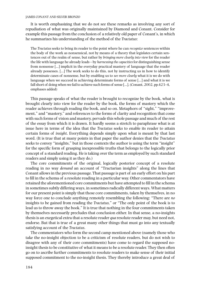#### James Conant and Silver Bronzo

It is worth emphasizing that we do not see these remarks as involving any sort of repudiation of what was originally maintained by Diamond and Conant. Consider for example this passage from the conclusion of a relatively old paper of Conant's, in which he summarizes his understanding of the method of the *Tractatus*:

The *Tractatus* seeks to bring its reader to the point where he can *recognize* sentences within the body of the work as nonsensical, not by means of a theory that legislates certain sentences out of the realm of sense, but rather by *bringing more clearly into view* for the reader the life with language he already leads – by *harnessing the capacities* for distinguishing sense from nonsense […] implicit in the everyday practical mastery of language that the reader already possesses. […] The work seeks to do this, not by instructing us in how to identify determinate cases of nonsense, but by enabling us to *see more clearly* what it is we do with language when we succeed in achieving determinate forms of sense […] and what it is we fall short of doing when we fail to achieve such forms of sense […]. (Conant, 2002, pp.423–4, emphases added)

This passage speaks of what the reader is brought to recognize by the book, what is brought clearly into view for the reader by the book, the forms of mastery which the reader achieves through reading the book, and so on. Metaphors of "sight," "improvement," and "mastery," and references to the forms of clarity and recognition that come with such forms of vision and mastery, pervade this whole passage and much of the rest of the essay from which it is drawn. It hardly seems a stretch to paraphrase what is at issue here in terms of the idea that the *Tractatus* seeks to enable its reader to attain certain forms of *insight*. Everything depends simply upon what is meant by that last word. (It is true that at many points in that paper the author denies that the *Tractatus* seeks to convey "insights," but in those contexts the author is using the term "insight" for the specific form of grasping inexpressible truths that belongs to the logically prior concept of a standard reading. He is taking over the term as employed by such standard readers and simply using it as they do.)

The core commitments of the original, logically posterior concept of a resolute reading in no way *demand* an account of "Tractarian insights" along the lines that Conant allows in the previous passage. That passage is part of an early effort on his part to fill in the schema of a resolute reading in a particular way. Other commentators have retained the aforementioned core commitments but have attempted to fill in the schema in sometimes subtly differing ways, in sometimes radically different ways. What matters for our present point is simply that those core commitments, taken by themselves, in no way force one to conclude anything remotely resembling the following: "There are *no* insights to be gained from reading the *Tractatus,*" or "The only point of the book is to lead us to throw away the book." It is true that nothing in the four commitments taken by themselves necessarily precludes that conclusion either. In that sense, a no‐insights thesis is an exegetical extra that a resolute reader *qua* resolute reader may, but need not, endorse. But that is true of a great many other things that must go into any textually satisfying account of the *Tractatus*.

The commentators who form the second camp mentioned above (namely those who take the no‐insight objection to be a criticism of resolute readers, but do not wish to disagree with any of their core commitments) have come to regard the supposed noinsight thesis to be constitutive of what it means to be a resolute reader. They then often go on to ascribe further commitments to resolute readers to make sense of their initial supposed commitment to the no‐insight thesis. They thereby introduce a great deal of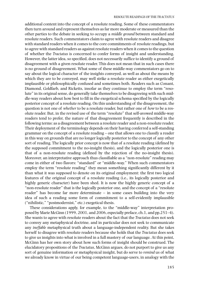additional content into the concept of a resolute reading. Some of these commentators then turn around and represent themselves as far more moderate or measured than the other parties to the debate in seeking to occupy a *middle ground* between standard and resolute readers. Such commentators claim to agree with resolute readers and disagree with standard readers when it comes to the core commitments of resolute readings, but to agree with standard readers as against resolute readers when it comes to the question of whether the *Tractatus* is concerned to confer forms of insight and understanding. However, the latter idea, so specified, does not necessarily suffice to identify a ground of disagreement with a given resolute reader. This does not mean that in such cases there is no ground of disagreement. What some of these middle‐way commentators go on to say about the logical character of the insights conveyed, as well as about the means by which they are to be conveyed, may well strike a resolute reader as either exegetically implausible or philosophically confused and sometimes both. Readers such as Conant, Diamond, Goldfarb, and Ricketts, insofar as they continue to employ the term "resolute" in its original sense, do generally take themselves to be disagreeing with such middle‐way readers about how best to fill in the exegetical schema specified by the logically posterior concept of a resolute reading. On this understanding of the disagreement, the question is not one of *whether* to be a resolute reader, but rather one of *how* to be a resolute reader. But, in the revised use of the term "resolute" that self‐avowed middle‐way readers tend to prefer, the nature of that disagreement frequently is described in the following terms: as a disagreement between a resolute reader and a non-resolute reader. Their deployment of the terminology depends on their having conferred a self‐standing grammar on the concept of a resolute reading – one that allows one to classify a reader in this way on grounds that are no longer logically posterior to the concept of any other sort of reading. The logically prior concept is now that of a resolute reading (defined by the supposed commitment to the no‐insight thesis), and the logically posterior one is that of a non‐resolute reading (defined by the rejection of the no‐insight thesis). Moreover, an interpretative approach thus classifiable as a "non-resolute" reading may come in either of two flavors: "standard" or "middle‐way." When such commentators employ the term "resolute reading" they mean something significantly different by it than what it was supposed to denote on its original employment: the first two logical features of the original concept of a resolute reading (i.e., its logically posterior and highly generic character) have been shed. It is now the highly generic concept of a "non-resolute reader" that is the logically posterior one, and the concept of a "resolute" reader" has become far more determinate – in some cases building into the very idea of such a reading some form of commitment to a self‐evidently implausible ("nihilistic," "postmodernist," etc.) exegetical thesis.

These considerations apply, for example, to the "middle‐way" interpretation proposed by Marie McGinn (1999, 2001, and 2006, especially preface, ch.1, and pp.251–4). She wants to agree with resolute readers about the fact that the *Tractatus* does not seek to convey any metaphysical doctrine, and in particular does not seek to communicate any *ineffable* metaphysical truth about a language‐independent reality. But she takes herself to disagree with resolute readers because she holds that the *Tractatus* does seek to give us insights into what is involved in a full mastery of our language. At this point, McGinn has her own story about how such forms of insight should be construed. The elucidatory propositions of the *Tractatus*, McGinn argues, do not purport to give us any sort of genuine information or metaphysical insight, but do serve to *remind* us of what we already know in virtue of our being competent language‐users, in analogy with the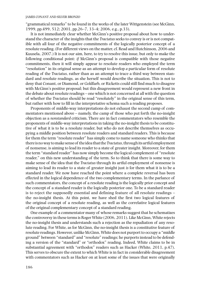"grammatical remarks" to be found in the works of the later Wittgenstein (see McGinn, 1999, pp.499, 512; 2001, pp.26–7, 33–4; 2006, e.g., p.33).

It is not immediately clear whether McGinn's positive proposal about how to understand the character of the insights that the *Tractatus* seeks to convey is or is not compatible with all four of the negative commitments of the logically posterior concept of a resolute reading. (For different views on the matter, cf. Read and Hutchinson, 2006 and Kuusela, 2007.) It is not our aim, here, to try to resolve this issue, but only to make the following conditional point: *if* McGinn's proposal is compatible with those negative commitments, then it will simply appear to resolute readers who employed the term "resolution" in its original sense as an attempt to develop *a* particular form of resolute reading of the *Tractatus*, rather than as an attempt to trace a third way between standard and resolute readings, as she herself would describe the situation. This is not to deny that Conant, or Diamond, or Goldfarb, or Ricketts could still find much to disagree with McGinn's positive proposal; but this disagreement would represent a new front in the debate about resolute readings – one which is not concerned at all with the question of whether the *Tractatus* should be read "resolutely" in the original sense of this term, but rather with how to fill in the interpretative schema such a reading proposes.

Proponents of middle‐way interpretations do not exhaust the second camp of commentators mentioned above – namely, the camp of those who put forth the no-insight objection as a *nonstandard* criticism. There are in fact commentators who resemble the proponents of middle‐way interpretations in taking the no‐insight thesis to be constitutive of what it is to be a resolute reader, but who do not describe themselves as occupying a middle position between resolute readers and standard readers. This is because for them the term "resolute reader" has simply come to name someone who thinks that there is no way to make sense of the idea that the *Tractatus*, through its artful employment of nonsense, is aiming to lead its reader to a state of greater insight. Moreover, for them the term "standard reader" has now simply become the logical complement of "resolute reader," on this new understanding of the term. So to think that there is some way to make sense of the idea that the *Tractatus* through its artful employment of nonsense is aiming to lead its reader to a state of greater insight just *is* for them what it is to be a standard reader. We now have reached the point where a complete reversal has been effected in the logical dependence of the two complementary terms. In the parlance of such commentators, the concept of a resolute reading is the logically prior concept and the concept of a standard reader is the logically posterior one. To be a standard reader is to reject the supposedly essential and defining feature of all resolute readings – the no‐insight thesis. At this point, we have shed the first two logical features of the original concept of a resolute reading, as well as the correlative logical features of the original complementary concept of a standard reading.

One example of a commentator many of whose remarks suggest that he schematizes the controversy in these terms is Roger White (2006, 2011). Like McGinn, White rejects the no‐insight thesis and understands such a rejection as the repudiation of any resolute reading. For White, as for McGinn, the no‐insight thesis is a constitutive feature of resolute readings. However, unlike McGinn, White does not purport to occupy a "middle ground" between "standard" and "resolute" readings; he purports instead to be defending a version of the "standard" or "orthodox" reading. Indeed, White claims to be in substantial agreement with "orthodox" readers such as Hacker (White, 2011, p.47). This serves to obscure the extent to which White is in fact in considerable disagreement with commentators such as Hacker on at least some of the issues that were originally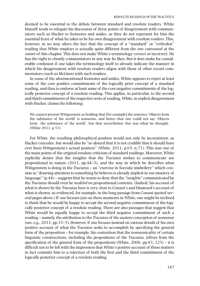deemed to be essential to the debate between standard and resolute readers. White himself tends to relegate his discussion of these points of disagreement with commentators such as Hacker to footnotes and asides, as they do not represent for him the essential front of what he takes to be his own disagreement with resolute readers. This, however, in no way alters the fact that the concept of a "standard" or "orthodox" reading that White employs is actually quite different from the one canvassed at the outset of this chapter. This does not make White's terminology correct or incorrect. He has the right to classify commentators in any way he likes. But it does make for considerable confusion if one takes the terminology itself to already indicate the manner in which his disagreement with resolute readers aligns with those of other recent commentators (such as McGinn) with such readers.

In some of the aforementioned footnotes and asides, White appears to reject at least some of the core positive commitments of the logically prior concept of a standard reading, and thus to endorse at least some of the core negative commitments of the logically posterior concept of a resolute reading. This applies, in particular, to the second and third commitments of the respective sorts of reading. White, in explicit disagreement with Hacker, claims the following:

We cannot present Wittgenstein as holding that [for example] the sentence 'Objects form the substance of the world' is nonsense, and hence that one could not say 'Objects form the substance of the world', but that nevertheless *that* was what he thought. (White 2011, p.53)

For White, the resulting philosophical position would not only be inconsistent, as Hacker concedes, but would also be "so absurd that it is not credible that it should have ever been Wittgenstein's actual position" (White, 2011, p.65, n.71). This was one of the main points of the original resolute criticism of standard readings. Moreover, White explicitly denies that the insights that the *Tractatus* wishes to communicate are propositional in nature (2011, pp.44–5), and the way in which he describes what Wittgenstein is doing in the *Tractatus* – an "exercise in Socratic midwifery" which consists in "drawing attention to something he believes is already implicit in our mastery of language" (p.44) – suggests that he wants to deny that the "insights" communicated by the *Tractatus* should even be *modeled* on propositional contents. (Indeed, his account of what is shown by the *Tractatus* here is very close to Conant's and Diamond's account of what is shown; as evidenced, for example, in the long passage from Conant quoted several pages above.) If one focuses just on these moments in White, one might be inclined to think that he would be happy to accept the second negative commitment of the logically posterior concept of a resolute reading. There are also passages that suggest that White would be equally happy to accept the third negative commitment of such a reading – namely, the attribution to the *Tractatus* of the austere conception of nonsense (see, e.g., 2011, pp.33–5). However, if one focuses instead on various details of his own positive account of what the *Tractatus* seeks to accomplish by specifying the general form of the proposition – for example, his contention that the nonsensicality of certain linguistic constructions, including the propositions of the *Tractatus*, *follows* from the specification of the general form of the propositions (White,  $2006$ , pp.83,  $125$ ) – it is difficult not to be left with the impression that White's positive account of these matters in fact commits him to a rejection of both the first and the third commitment of the logically posterior concept of a resolute reading.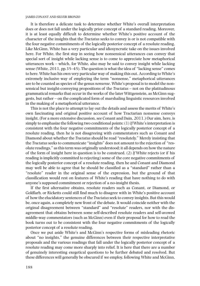#### James Conant and Silver Bronzo

It is therefore a delicate task to determine whether White's overall interpretation does or does not fall under the logically prior concept of a standard reading. Moreover, it is at least equally difficult to determine whether White's positive account of the character of the insights that the *Tractatus* seeks to convey is or is not compatible with the four negative commitments of the logically posterior concept of a resolute reading. Like McGinn, White has a very particular and idiosyncratic take on the issues involved here. For White, the first step in seeing how nonsensical utterances can convey that special sort of insight while lacking sense is to come to appreciate how metaphorical utterances work – which, for White, also may be said to convey insight while lacking sense (White, 2011, pp.35–45). The question is what the idea of "lacking sense" comes to here. White has his own very particular way of making this out. According to White's extremely inclusive way of employing the term "nonsense," metaphorical utterances are to be counted as species of the genus *nonsense*. White's proposal is to model the nonsensical but insight‐conveying propositions of the *Tractatus* – not on the platitudinous grammatical remarks that occur in the works of the later Wittgenstein, as McGinn suggests, but rather – on the complicated form of marshaling linguistic resources involved in the making of a metaphorical utterance.

This is not the place to attempt to lay out the details and assess the merits of White's own fascinating and original positive account of how Tractarian nonsense conveys insight. (For a more extensive discussion, see Conant and Dain, 2011.) Our aim, here, is simply to emphasize the following two conditional points: (1) *If* White's interpretation is consistent with the four negative commitments of the logically posterior concept of a resolute reading, then he is not disagreeing with commentators such as Conant and Diamond about whether the *Tractatus* should be read "resolutely." Merely insisting that the *Tractatus* seeks to communicate "insights" does not amount to the rejection of "resolute readings," as this term was originally understood; it all depends on how the nature of the form of insight here in question is to be construed. (2) *If* White rejects (or if his reading is implicitly committed to rejecting) some of the core negative commitments of the logically posterior concept of a resolute reading, then he and Conant and Diamond may well be able to agree that he should be classified as a "standard" rather than a "resolute" reader in the original sense of the expression, but the ground of that classification would rest on features of White's reading that have nothing to do with anyone's supposed commitment or rejection of a no‐insight thesis.

If the first alternative obtains, resolute readers such as Conant, or Diamond, or Goldfarb, or Ricketts could still find much to disagree with in White's positive account of how the elucidatory sentences of the *Tractatus* seek to convey insights. But this would be, once again, a completely new front of the debate. It would coincide neither with the original disagreement between "standard" and "resolute" readers, nor with the disagreement that obtains between some self‐described resolute readers and self‐avowed middle‐way commentators (such as McGinn) even if their proposal for how to read the book turns out to be consistent with the four negative commitments of the logically posterior concept of a resolute reading.

Once we put aside White's and McGinn's respective forms of misleading rhetoric about "no insights," the genuine differences between their respective interpretative proposals and the various readings that fall under the logically posterior concept of a resolute reading may come more sharply into relief. It is here that there are a number of genuinely interesting exegetical questions to be further debated and resolved. But these differences will generally be obscured if we employ, following White and McGinn,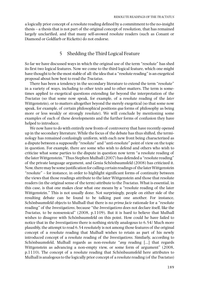a logically prior concept of a resolute reading defined by a commitment to the no‐insight thesis – a thesis that is not part of the original concept of resolution, that has remained largely unclarified, and that many self‐avowed resolute readers (such as Conant or Diamond or Goldfarb or Ricketts) do not endorse.

#### 5 Shedding the Third Logical Feature

So far we have discussed ways in which the original use of the term "resolute" has shed its first two logical features. Now we come to the third logical feature, which one might have thought to be the most stable of all: the idea that a "resolute reading" is an exegetical proposal about how best to read the *Tractatus*.

There has been a tendency in the secondary literature to extend the term "resolute" in a variety of ways, including to other texts and to other matters. The term is sometimes applied to exegetical questions extending far beyond the interpretation of the *Tractatus* (so that some now speak, for example, of a resolute reading of the *later* Wittgenstein), or to matters altogether beyond the merely exegetical (so that some now speak, for example, of certain philosophical positions *qua* forms of philosophy as being more or less weakly or strongly resolute). We will conclude by mentioning some examples of each of these developments and the further forms of confusion they have helped to introduce.

We now have to do with entirely new fronts of controversy that have recently opened up in the secondary literature. While the focus of the debate has thus shifted, the terminology has remained confusingly uniform, with each new front being characterized as a dispute between a supposedly "resolute" and "anti‐resolute" point of view on the topic in question. For example, there are some who wish to defend and others who wish to criticize what some parties to the dispute in question now term "a resolute reading of the later Wittgenstein." Thus Stephen Mulhall (2007) has defended a "resolute reading" of the private language argument, and Genia Schönbaumsfeld (2008) has criticized it. Now, there may be some justification for calling certain readings of the later Wittgenstein "resolute" – for instance, in order to highlight significant forms of continuity between the views that those readings attribute to the later Wittgenstein and those that resolute readers (in the original sense of the term) attribute to the *Tractatus*. What is essential, in this case, is that one makes clear what one means by a "resolute reading of the later Wittgenstein." This is not usually done. Not surprisingly, people on either side of the resulting debate can be found to be talking past one another. For instance, Schönbaumsfeld objects to Mulhall that there is no *prima facie* rationale for a "resolute reading" of the *Investigations*, because "the *Investigations* does not declare itself, like the *Tractatus,* to be nonsensical" (2008, p.1109). But it is hard to believe that Mulhall wishes to disagree with Schönbaumsfeld on this point. How could he have failed to notice that in the *Investigations* there is nothing strictly analogous to 6.54? Much more plausibly, the attempt to read 6.54 resolutely is not among those features of the original concept of a resolute reading that Mulhall wishes to retain as part of his newly introduced concept of a resolute reading of the *Investigations*. Similarly, according to Schönbaumsfeld, Mulhall regards as non‐resolute "*any* reading […] that regards Wittgenstein as advancing a non-empty view, or some form of argument" (2008, p.1110). The concept of a resolute reading that Schönbaumsfeld here attributes to Mulhall is analogous to the logically prior concept of a resolute reading (of the *Tractatus*)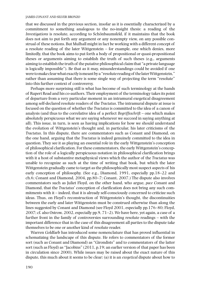that we discussed in the previous section, insofar as it is essentially characterized by a commitment to something analogous to the no‐insight thesis: a reading of the *Investigations* is resolute, according to Schönbaumsfeld, if it maintains that the book does not aim to put forth any argument or any nonempty view, on any possible construal of these notions. But Mulhall might in fact be working with a different concept of a resolute reading of the later Wittgenstein – for example, one which denies, more limitedly, that the book aims to put forth a body of propositional or quasi‐propositional theses or arguments aiming to establish the truth of such theses (e.g., arguments aiming to establish the truth of the putative philosophical claim that "a private language is logically impossible"). Be that as it may, misunderstandings could be avoided if one were to make clear what exactly is meant by a "resolute reading of the later Wittgenstein," rather than assuming that there is some single way of projecting the term "resolute" into this further context of controversy.

Perhaps more surprising still is what has become of such terminology at the hands of Rupert Read and his co‐authors. Their employment of the terminology takes its point of departure from a very particular moment in an intramural exegetical disagreement among self‐declared resolute readers of the *Tractatus*. The intramural dispute at issue is focused on the question of whether the *Tractatus* is committed to the idea of a canon of analysis (and thus to the correlative idea of a perfect *Begriffsschrift* – one which makes absolutely perspicuous what we are saying whenever we succeed in saying anything at all). This issue, in turn, is seen as having implications for how we should understand the evolution of Wittgenstein's thought and, in particular, his later criticisms of the *Tractatus*. In this dispute, there are commentators such as Conant and Diamond, on the one hand, arguing that the *Tractatus* is indeed genuinely committed to the idea in question. They see it as playing an essential role in the early Wittgenstein's conception of philosophical clarification. For these commentators, the early Wittgenstein's conception of the role of a logically perspicuous notation in philosophical clarification brings with it a host of substantive metaphysical views which the author of the *Tractatus* was unable to recognize as such at the time of writing that book, but which the later Wittgenstein gradually came to target as the philosophically most suspect aspects of his early conception of philosophy. (See e.g., Diamond, 1991, especially pp.18–22 and ch.6; Conant and Diamond, 2004, pp.80–7; Conant, 2007.) The dispute also involves commentators such as Juliet Floyd, on the other hand, who argue, *pace* Conant and Diamond, that the *Tractatus*' conception of clarification does not bring any such commitments with it – indeed, that it is already self-consciously concerned to criticize such ideas. Thus, on Floyd's reconstruction of Wittgenstein's thought, the discontinuities between the early and later Wittgenstein must be construed otherwise than along the lines suggested by Conant and Diamond (see Floyd 2001, especially pp.176–80; Floyd, 2007; cf. also Ostrow, 2002, especially pp.9, 71–2). We have here, yet again, a case of a further front in the family of controversies surrounding resolute readings – with the important difference that in the case of this disagreement all parties to the dispute take themselves to be one or another kind of resolute reader.

Warren Goldfarb has introduced some nomenclature that has proved influential in schematizing the landscape of this dispute. He refers to commentators of the former sort (such as Conant and Diamond) as "Girondists" and to commentators of the latter sort (such as Floyd) as "Jacobins" (2011, p.19; an earlier version of that paper has been in circulation since 2000). While issues may be raised about the exact nature of this dispute, this much about it seems to be clear: (a) it is an *exegetical* dispute about how to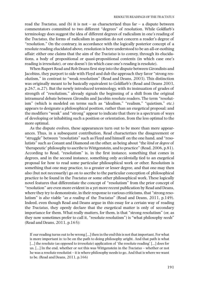read the *Tractatus*, and (b) it is not  $-$  as characterized thus far  $-$  a dispute between commentators committed to two different "degrees" of resolution. While Goldfarb's terminology does suggest the idea of different degrees of radicalism in one's reading of the *Tractatus*, the forms of radicalism in question do not concern a reader's degree of "resolution." On the contrary, in accordance with the logically posterior concept of a resolute reading elucidated above, resolution is here understood to be an all‐or‐nothing affair: either one claims that the aim of the *Tractatus* is to convey, through its elucidations, a body of propositional or quasi‐propositional contents (in which case one's reading is irresolute), or one doesn't (in which case one's reading is resolute).

When Rupert Read and Rob Deans first step into the dispute between Girondists and Jacobins, they purport to side with Floyd and dub the approach they favor "strong resolutism," in contrast to "weak resolutism" (Read and Deans, 2003). This distinction was originally meant to be basically equivalent to Goldfarb's (Read and Deans 2003, p.267, n.27). But the newly introduced terminology, with its insinuation of grades of strength of "resolutism," already signals the beginning of a shift from the original intramural debate between Girondin and Jacobin resolute readers. The term "resolutism" (which is modeled on terms such as "idealism," "realism," "quietism," etc.) appears to designate a philosophical position, rather than an exegetical proposal; and the modifiers "weak" and "strong" appear to indicate that there is a spectrum of ways of developing or inhabiting such a position or orientation, from the less optimal to the more optimal.

As the dispute evolves, these appearances turn out to be more than mere appearances. Thus, in a subsequent contribution, Read characterizes the disagreement or "struggle" between "resolutists" such as Floyd and himself on the one hand, and "resolutists" such as Conant and Diamond on the other, as being about "the *kind* or *degree* of 'therapeutic' philosophy to ascribe to Wittgenstein, and to practice" (Read, 2006, p.81). According to Read, "resolutism" is, in the first instance, something that comes in degrees, and in the second instance, something only *accidentally* tied to an exegetical proposal for how to read some particular philosophical work or other. Resolutism is something that one may practice, to a greater or lesser degree, and that one may then also (but not necessarily) go on to ascribe to the particular conception of philosophical practice to be found in the *Tractatus* or some other philosophical work. These logically novel features that differentiate the concept of "resolutism" from the prior concept of "resolution" are even more evident in a yet more recent publication by Read and Deans, where they try to demonstrate, in their response to various criticisms, that "strong resolutism" is *also* viable "*as a reading* of the *Tractatus*" (Read and Deans, 2011, p.149). Indeed, even though Read and Deans argue in this essay for a certain way of reading the *Tractatus*, they openly declare that the exegetical matter is only of secondary importance for them. What really matters, for them, is that "strong resolutism" (or, as they now sometimes prefer to call it, "resolute resolutism") is "what philosophy *needs*" (Read and Deans, 2011, p.165):

If our reading turns out to be wrong […] then in the end this is not that important. For what is more important is: to be on the path to doing philosophy aright. And that path is what [...] the resolute (as opposed to irresolute) application of 'the resolute reading' [...] does for us. […] In the end, whether or *not* this was Wittgenstein in the *Tractatus* – whether or not he was a resolute resolutist – it is where philosophy needs to go. And that is where we want to be. (Read and Deans, 2011, p.166)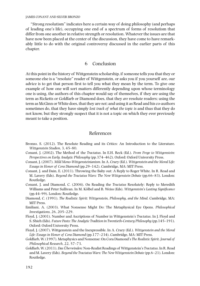"Strong resolutism" indicates here a certain way of doing philosophy (and perhaps of leading one's life), occupying one end of a spectrum of forms of resolutism that differ from one another in relative strength or resolution. Whatever the issues are that have now been placed at the center of the discussion, they have come to have remarkably little to do with the original controversy discussed in the earlier parts of this chapter.

#### 6 Conclusion

At this point in the history of Wittgenstein scholarship, if someone tells you that they or someone else is a "resolute" reader of Wittgenstein, or asks you if you yourself are, our advice is to get that person first to tell you what they mean by the term. To give one example of how one will sort matters differently depending upon whose terminology one is using, the authors of this chapter would say of themselves, if they are using the term as Ricketts or Goldfarb or Diamond does, that they *are* resolute readers; using the term as McGinn or White does, that they are *not*; and using it as Read and his co-authors sometimes do, that they have simply *lost track of what the topic is* and thus that they do not know, but they strongly suspect that it is not a topic on which they ever previously meant to take a position.

### References

- Bronzo, S. (2012). The Resolute Reading and its Critics: An Introduction to the Literature. *Wittgenstein Studien*, 3, 45–80.
- Conant, J. (2002). The Method of the *Tractatus*. In E.H. Reck (Ed.). *From Frege to Wittgenstein: Perspectives on Early Analytic Philosophy* (pp.374–462). Oxford: Oxford University Press.
- Conant, J. (2007). *Mild Mono‐Wittgensteinianism*. In A. Crary (Ed.). *Wittgenstein and the Moral Life: Essays in Honor of Cora Diamond* (pp.29–142). Cambridge, MA: MIT Press.
- Conant, J. and Dain, E. (2011). Throwing the Baby out: A Reply to Roger White. In R. Read and M. Lavery (Eds). *Beyond the Tractatus Wars: The New Wittgenstein Debate* (pp.66–83). London: Routledge.
- Conant, J. and Diamond, C. (2004). On Reading the *Tractatus* Resolutely: Reply to Meredith Williams and Peter Sullivan. In M. Kölbel and B. Weiss (Eds). *Wittgenstein's Lasting Significance* (pp.44–99). London: Routledge.
- Diamond, C. (1991). *The Realistic Spirit: Wittgenstein, Philosophy, and the Mind*. Cambridge, MA: MIT Press.
- Emiliani, A. (2003). What Nonsense Might Do: The Metaphysical Eye Opens. *Philosophical Investigations*, 26, 205–229.
- Floyd, J. (2001). Number and Ascriptions of Number in Wittgenstein's *Tractatus*. In J. Floyd and S. Shieh (Eds). *Future Pasts: The Analytic Tradition in Twentieth‐Century Philosophy* (pp.145–191). Oxford: Oxford University Press.
- Floyd, J. (2007). Wittgenstein and the Inexpressible. In A. Crary (Ed.). *Wittgenstein and the Moral Life: Essays in Honor of Cora Diamond* (pp.177–234). Cambridge, MA: MIT Press.
- Goldfarb, W. (1997). Metaphysics and Nonsense: On Cora Diamond's *The Realistic Spirit*. *Journal of Philosophical Research*, 22, 57–73.
- Goldfarb, W. (2011). *Das Überwinden:* Non‐Realist Readings of Wittgenstein's *Tractatus*. In R. Read and M. Lavery (Eds). *Beyond the Tractatus Wars: The New Wittgenstein Debate* (pp.6–21). London: Routledge.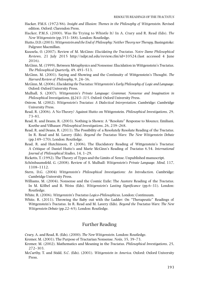- Hacker, P.M.S. (1972/86). *Insight and Illusion: Themes in the Philosophy of Wittgenstein*. Revised edition. Oxford: Clarendon Press.
- Hacker, P.M.S. (2000). Was He Trying to Whistle It? In A. Crary and R. Read (Eds). *The New Wittgenstein* (pp.353–388). London: Routledge.
- Hutto, D.D. (2003). *Wittgenstein and the End of Philosophy: Neither Theory nor Therapy*. Basingstoke: Palgrave Macmillan.
- Kuusela, O. (2007). Review of M. McGinn: *Elucidating the Tractatus. Notre Dame Philosophical Reviews*, 21 July 2015 http://ndpr.nd.edu/review.cfm?id=10524.(last accessed 4 June 2016).
- McGinn, M. (1999). Between Metaphysics and Nonsense: Elucidation in Wittgenstein's *Tractatus*. *The Philosophical Quarterly*, 49, 491–513.
- McGinn, M. (2001). Saying and Showing and the Continuity of Wittgenstein's Thought. *The Harvard Review of Philosophy*, 9, 24–36.
- McGinn, M. (2006). *Elucidating the Tractatus: Wittgenstein's Early Philosophy of Logic and Language*. Oxford: Oxford University Press.
- Mulhall, S. (2007). *Wittgenstein's Private Language: Grammar, Nonsense and Imagination in Philosophical Investigations, §§243–315*. Oxford: Oxford University Press.
- Ostrow, M. (2002). *Wittgenstein's Tractatus: A Dialectical Interpretation*. Cambridge: Cambridge University Press.
- Read, R. (2006). A No‐Theory? Against Hutto on Wittgenstein. *Philosophical Investigations*, 29, 73–81.
- Read, R. and Deans, R. (2003). Nothing is Shown: A "Resolute" Response to Mounce, Emiliani, Koethe and Vilhauer. *Philosophical Investigations*, 26, 239–268.
- Read, R. and Deans, R. (2011). The Possibility of a Resolutely Resolute Reading of the *Tractatus*. In R. Read and M. Lavery (Eds). *Beyond the Tractatus Wars: The New Wittgenstein Debate* (pp.149–170). London: Routledge.
- Read, R. and Hutchinson, P. (2006). The Elucidatory Reading of Wittgenstein's *Tractatus*: A Critique of Daniel Hutto's and Marie McGinn's Reading of *Tractatus* 6.54. *International Journal of Philosophical Studies*, 14, 1–29.
- Ricketts, T. (1992). The Theory of Types and the Limits of Sense. Unpublished manuscript.
- Schönbaumsfeld, G. (2008). Review of S. Mulhall: *Wittgenstein's Private Language. Mind*, 117, 1108–1112.
- Stern, D.G. (2004) *Wittgenstein's Philosophical Investigations: An Introduction*. Cambridge: Cambridge University Press.
- Williams, M. (2004). Nonsense and the Cosmic Exile: The Austere Reading of the *Tractatus*. In M. Kölbel and B. Weiss (Eds). *Wittgenstein's Lasting Significance* (pp.6–31). London: Routledge.
- White, R. (2006). *Wittgenstein's Tractatus Logico‐Philosophicus*. London: Continuum.
- White, R. (2011). Throwing the Baby out with the Ladder: On "Therapeutic" Readings of Wittgenstein's *Tractatus*. In R. Read and M. Lavery (Eds). *Beyond the Tractatus Wars: The New Wittgenstein Debate* (pp.22–65). London: Routledge.

## Further Reading

Crary, A. and Read, R. (Eds). (2000). *The New Wittgenstein*. London: Routledge.

- Kremer, M. (2001). The Purpose of Tractarian Nonsense. *Noûs*, 35, 39–73.
- Kremer, M. (2002). Mathematics and Meaning in the *Tractatus*. *Philosophical Investigations*, 25, 272–303.
- McCarthy, T. and Stidd, S.C. (Eds). (2001). *Wittgenstein in America*. Oxford: Oxford University Press.